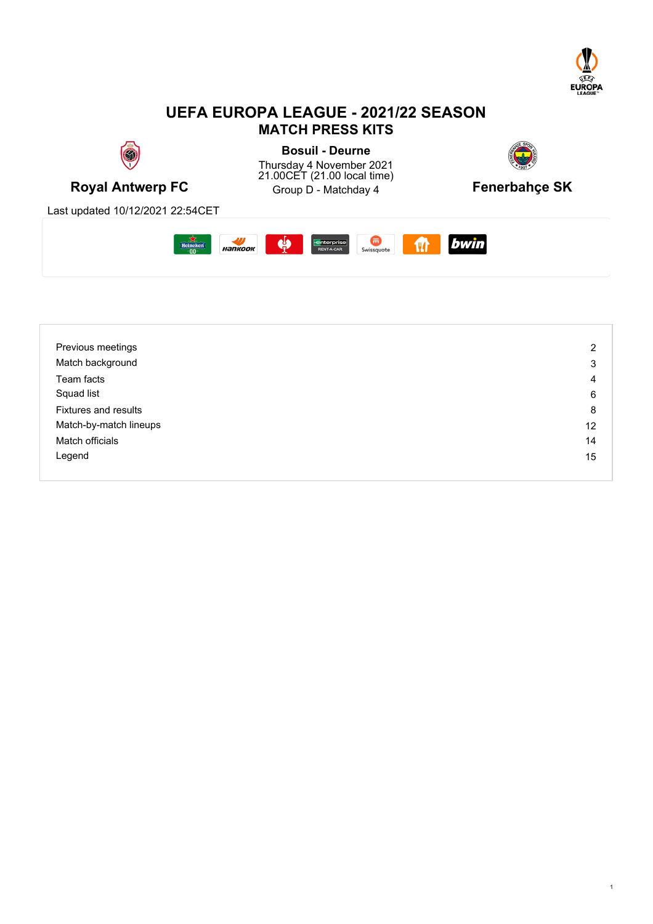

## **UEFA EUROPA LEAGUE - 2021/22 SEASON MATCH PRESS KITS**



| Previous meetings      | $\overline{2}$ |
|------------------------|----------------|
| Match background       | 3              |
| Team facts             | 4              |
| Squad list             | 6              |
| Fixtures and results   | 8              |
| Match-by-match lineups | 12             |
| Match officials        | 14             |
| Legend                 | 15             |
|                        |                |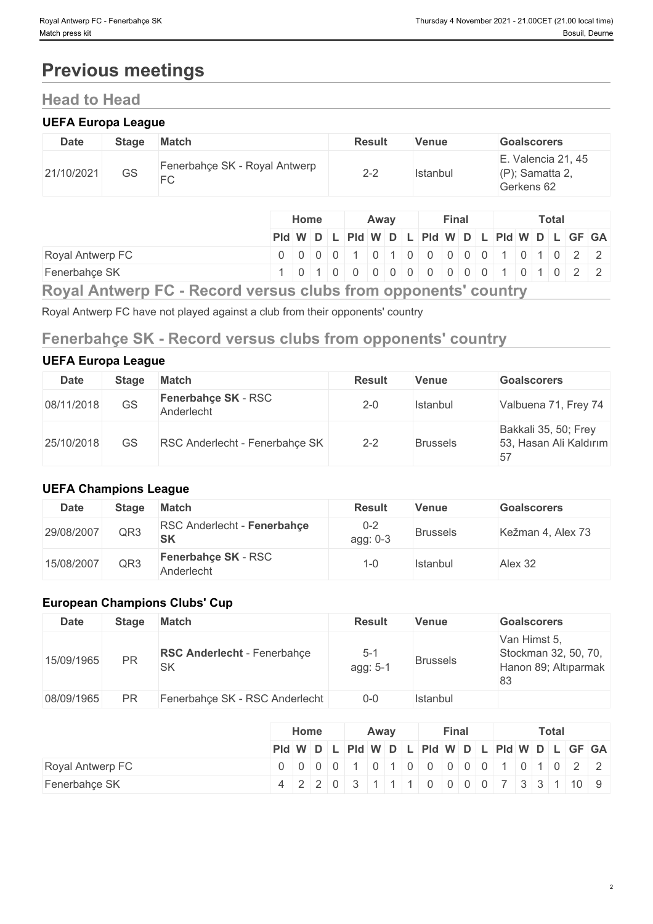# **Previous meetings**

## **Head to Head**

#### **UEFA Europa League**

| <b>Date</b> | <b>Stage</b> | <b>Match</b>                        | <b>Result</b>  | Venue    | <b>Goalscorers</b>                                     |
|-------------|--------------|-------------------------------------|----------------|----------|--------------------------------------------------------|
| 21/10/2021  | <b>GS</b>    | Fenerbahçe SK - Royal Antwerp<br>FC | $2 - 2$<br>_ _ | Istanbul | E. Valencia 21, 45<br>$(P)$ ; Samatta 2,<br>Gerkens 62 |

|                                                                    | <b>Home</b><br>Away |  |  |  | <b>Final</b> |  | Total |  |  |  |  |  |  |                                               |
|--------------------------------------------------------------------|---------------------|--|--|--|--------------|--|-------|--|--|--|--|--|--|-----------------------------------------------|
|                                                                    |                     |  |  |  |              |  |       |  |  |  |  |  |  | Pid W D L Pid W D L Pid W D L Pid W D L GF GA |
| Royal Antwerp FC                                                   |                     |  |  |  |              |  |       |  |  |  |  |  |  |                                               |
| Fenerbahçe SK                                                      |                     |  |  |  |              |  |       |  |  |  |  |  |  | 1 0 1 0 0 0 0 0 0 0 0 0 0 0 1 0 1 0 2 2       |
| Davel Approved EQ. Desard varage algeba from appropriate assistant |                     |  |  |  |              |  |       |  |  |  |  |  |  |                                               |

**Royal Antwerp FC - Record versus clubs from opponents' country**

Royal Antwerp FC have not played against a club from their opponents' country

## **Fenerbahçe SK - Record versus clubs from opponents' country**

### **UEFA Europa League**

| <b>Date</b> | <b>Stage</b> | <b>Match</b>                             | <b>Result</b> | Venue           | <b>Goalscorers</b>                             |
|-------------|--------------|------------------------------------------|---------------|-----------------|------------------------------------------------|
| 08/11/2018  | GS           | <b>Fenerbahce SK - RSC</b><br>Anderlecht | $2 - 0$       | Istanbul        | Valbuena 71, Frey 74                           |
| 25/10/2018  | GS           | RSC Anderlecht - Fenerbahçe SK           | $2 - 2$       | <b>Brussels</b> | Bakkali 35, 50; Frey<br>53, Hasan Ali Kaldırım |

### **UEFA Champions League**

| Date       | <b>Stage</b> | <b>Match</b>                             | <b>Result</b>       | Venue           | <b>Goalscorers</b> |
|------------|--------------|------------------------------------------|---------------------|-----------------|--------------------|
| 29/08/2007 | QR3          | RSC Anderlecht - Fenerbahce<br><b>SK</b> | $0 - 2$<br>agg: 0-3 | <b>Brussels</b> | Kežman 4, Alex 73  |
| 15/08/2007 | QR3          | <b>Fenerbahce SK - RSC</b><br>Anderlecht | -0-ا                | Istanbul        | Alex 32            |

### **European Champions Clubs' Cup**

| <b>Date</b> | <b>Stage</b> | <b>Match</b>                                    | <b>Result</b>       | <b>Venue</b>    | <b>Goalscorers</b>                                                 |
|-------------|--------------|-------------------------------------------------|---------------------|-----------------|--------------------------------------------------------------------|
| 15/09/1965  | <b>PR</b>    | <b>RSC Anderlecht - Fenerbahçe</b><br><b>SK</b> | $5 - 1$<br>agg: 5-1 | <b>Brussels</b> | Van Himst 5,<br>Stockman 32, 50, 70,<br>Hanon 89; Altıparmak<br>83 |
| 08/09/1965  | <b>PR</b>    | Fenerbahçe SK - RSC Anderlecht                  | $0-0$               | Istanbul        |                                                                    |

|                  | Home                                     | Away |  |  | Final |  |  |  | <b>Total</b> |  |  |  |  |  |  |
|------------------|------------------------------------------|------|--|--|-------|--|--|--|--------------|--|--|--|--|--|--|
|                  | PId WDLPId WDLPId WDLPId WDLPId WDLGF GA |      |  |  |       |  |  |  |              |  |  |  |  |  |  |
| Royal Antwerp FC | 0 0 0 0 1 0 1 0 0 0 0 0 0 1 0 1 0 2 2    |      |  |  |       |  |  |  |              |  |  |  |  |  |  |
| Fenerbahçe SK    | 4 2 2 0 3 1 1 1 0 0 0 0 7 3 3 1 0 0 9    |      |  |  |       |  |  |  |              |  |  |  |  |  |  |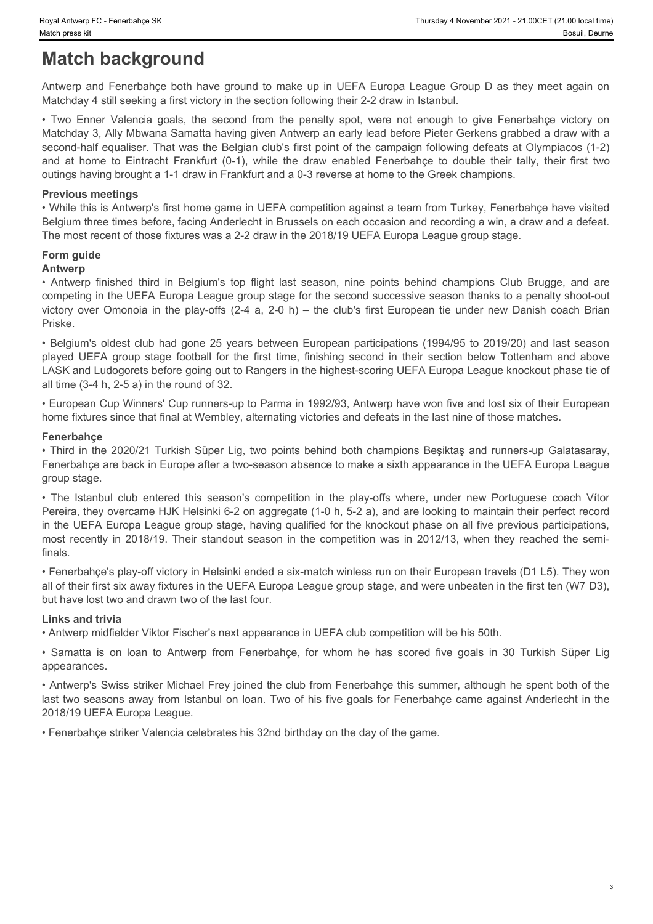# **Match background**

Antwerp and Fenerbahçe both have ground to make up in UEFA Europa League Group D as they meet again on Matchday 4 still seeking a first victory in the section following their 2-2 draw in Istanbul.

Frumsday 4 November 2021 - 21.000 CET (21.00 local time)<br>
Match press kit Boauil, Deume<br>
Antwerp FC - Fenerbahçe both have ground to make up in UEFA Europa League Group D as they meet again on<br>
Antwerp and Fenerbahçe both Matchday 3, Ally Mbwana Samatta having given Antwerp an early lead before Pieter Gerkens grabbed a draw with a second-half equaliser. That was the Belgian club's first point of the campaign following defeats at Olympiacos (1-2) For Femerican SK<br>
and Antwerp FC - Femericance SK<br> **Match background**<br>
Antwerp and Fenerbahce both have ground to make up in UEFA Europa League Group D as they meet again on<br>
Matchday 4 still seeking a first victory in the outings having brought a 1-1 draw in Frankfurt and a 0-3 reverse at home to the Greek champions. Finished Hart and September of the Belgium's top flight last season, mine points behind the and points of their EV and the mean of Matched that a mean of Matched tast second for the mean of Matched tast season of Matched t View Attemptor C. Freeshance SK Thundery Attemptor 2021-21:00CET (21:00 bases)<br> **Analthering and Fenerishinge both have ground to make up in UEFA Europa League Group D as they meet again on<br>
Analthering and Fenerishing obs** by the bypart and the first of the first time first time. The first time of the first time of the first time of the first time of the first time of the first time of the first time of the first time of the first time in th

#### **Previous meetings**

• While this is Antwerp's first home game in UEFA competition against a team from Turkey, Fenerbahçe have visited Belgium three times before, facing Anderlecht in Brussels on each occasion and recording a win, a draw and a defeat. The most recent of those fixtures was a 2-2 draw in the 2018/19 UEFA Europa League group stage.

### **Form guide**

#### **Antwerp**

competing in the UEFA Europa League group stage for the second successive season thanks to a penalty shoot-out Priske.

• Belgium's oldest club had gone 25 years between European participations (1994/95 to 2019/20) and last season LASK and Ludogorets before going out to Rangers in the highest-scoring UEFA Europa League knockout phase tie of all time (3-4 h, 2-5 a) in the round of 32.

• European Cup Winners' Cup runners-up to Parma in 1992/93, Antwerp have won five and lost six of their European home fixtures since that final at Wembley, alternating victories and defeats in the last nine of those matches.

#### **Fenerbahçe**

• Third in the 2020/21 Turkish Süper Lig, two points behind both champions Beşiktaş and runners-up Galatasaray, Fenerbahçe are back in Europe after a two-season absence to make a sixth appearance in the UEFA Europa League group stage.

ey Amees F Feachers of Finder<br> **Example 18 and Control of Season's Control of Season's Control of Season in the Istanbul club entered this season in the Islamical competition in the Islamic Season in the Islamic Season in** Pereira, they overcame HJK Helsinki 6-2 on aggregate (1-0 h, 5-2 a), and are looking to maintain their perfect record in the UEFA Europa League group stage, having qualified for the knockout phase on all five previous participations, most season its immulay as:<br>
Match background districted to move of the standout in UEFA Europa Leape Group D as they meet again on<br>
Match stall seeking in this victory in the station interimental competition is a theoreti finals. • Two Emery Valentia goals, the second form the penalty spot, earn rule emarge to perferentially and the second form Fenerbahçe sides on the Content of the Samatta in the Content of the Content of the Content of the Conten

• Fenerbahçe's play-off victory in Helsinki ended a six-match winless run on their European travels (D1 L5). They won all of their first six away fixtures in the UEFA Europa League group stage, and were unbeaten in the first ten (W7 D3), but have lost two and drawn two of the last four.

#### **Links and trivia**

• Antwerp midfielder Viktor Fischer's next appearance in UEFA club competition will be his 50th.

appearances.

• Antwerp's Swiss striker Michael Frey joined the club from Fenerbahçe this summer, although he spent both of the last two seasons away from Istanbul on loan. Two of his five goals for Fenerbahçe came against Anderlecht in the 2018/19 UEFA Europa League.

• Fenerbahçe striker Valencia celebrates his 32nd birthday on the day of the game.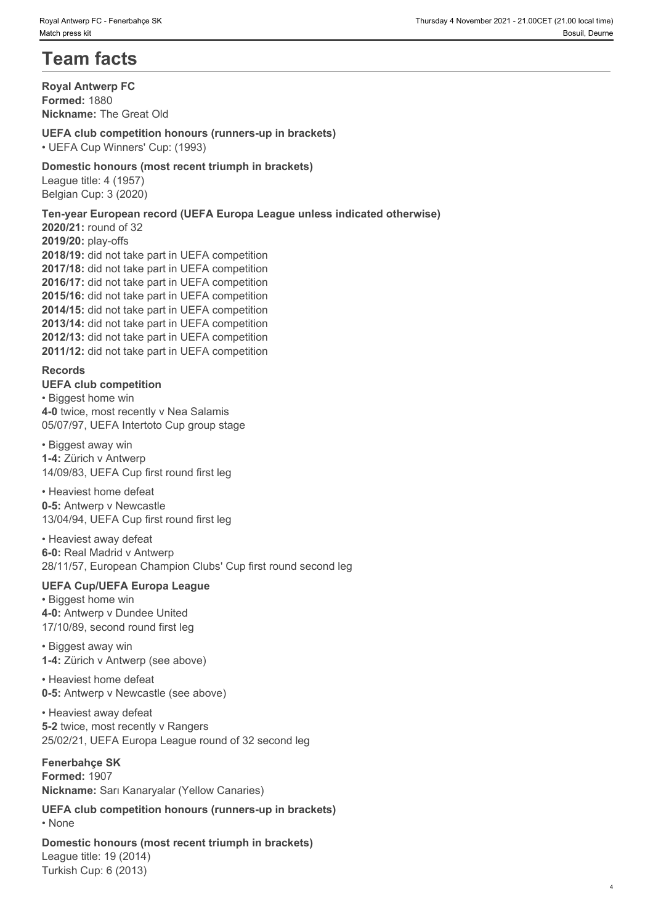# **Team facts**

**Royal Antwerp FC Formed:** 1880 **Nickname:** The Great Old

#### **UEFA club competition honours (runners-up in brackets)**

• UEFA Cup Winners' Cup: (1993)

#### **Domestic honours (most recent triumph in brackets)**

League title: 4 (1957) Belgian Cup: 3 (2020)

#### **Ten-year European record (UEFA Europa League unless indicated otherwise)**

**2020/21:** round of 32 **2019/20:** play-offs **2018/19:** did not take part in UEFA competition **2017/18:** did not take part in UEFA competition **2016/17:** did not take part in UEFA competition **2015/16:** did not take part in UEFA competition **2014/15:** did not take part in UEFA competition **2013/14:** did not take part in UEFA competition **2012/13:** did not take part in UEFA competition **2011/12:** did not take part in UEFA competition

#### **Records**

**UEFA club competition** • Biggest home win **4-0** twice, most recently v Nea Salamis 05/07/97, UEFA Intertoto Cup group stage

• Biggest away win **1-4:** Zürich v Antwerp 14/09/83, UEFA Cup first round first leg

• Heaviest home defeat **0-5:** Antwerp v Newcastle 13/04/94, UEFA Cup first round first leg

• Heaviest away defeat **6-0:** Real Madrid v Antwerp 28/11/57, European Champion Clubs' Cup first round second leg

#### **UEFA Cup/UEFA Europa League**

• Biggest home win **4-0:** Antwerp v Dundee United 17/10/89, second round first leg

#### • Biggest away win **1-4:** Zürich v Antwerp (see above)

• Heaviest home defeat **0-5:** Antwerp v Newcastle (see above)

• Heaviest away defeat **5-2** twice, most recently v Rangers 25/02/21, UEFA Europa League round of 32 second leg

#### **Fenerbahçe SK**

**Formed:** 1907 **Nickname:** Sarı Kanaryalar (Yellow Canaries)

**UEFA club competition honours (runners-up in brackets)** • None **blue** and **blue** and **blue** and **blue** and **blue** and **blue** and **blue** and **blue** and **blue** and **blue** and **blue** and **blue** and **blue** and **blue** and **blue** and **blue** and **blue** and **blue** and **blue** and **blue** 

**Domestic honours (most recent triumph in brackets)**

League title: 19 (2014) Turkish Cup: 6 (2013)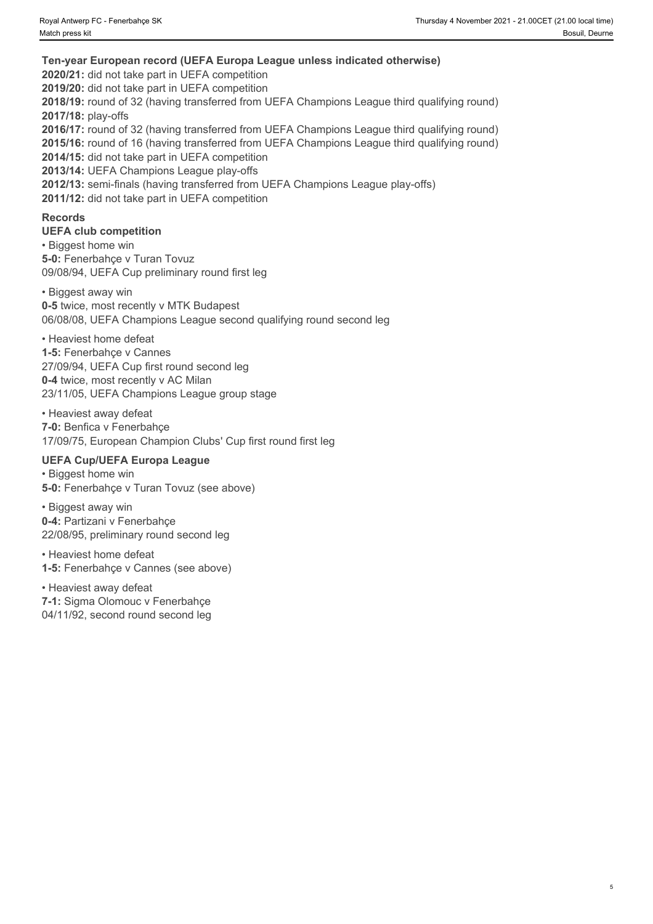**Ten-year European record (UEFA Europa League unless indicated otherwise) 2020/21:** did not take part in UEFA competition **2019/20:** did not take part in UEFA competition **2018/19:** round of 32 (having transferred from UEFA Champions League third qualifying round) **2017/18:** play-offs **2016/17:** round of 32 (having transferred from UEFA Champions League third qualifying round) **2015/16:** round of 16 (having transferred from UEFA Champions League third qualifying round) **2014/15:** did not take part in UEFA competition **2013/14:** UEFA Champions League play-offs **2012/13:** semi-finals (having transferred from UEFA Champions League play-offs) **2011/12:** did not take part in UEFA competition

#### **Records**

**UEFA club competition**

• Biggest home win **5-0:** Fenerbahçe v Turan Tovuz 09/08/94, UEFA Cup preliminary round first leg

• Biggest away win **0-5** twice, most recently v MTK Budapest 06/08/08, UEFA Champions League second qualifying round second leg

• Heaviest home defeat

**1-5:** Fenerbahçe v Cannes 27/09/94, UEFA Cup first round second leg **0-4** twice, most recently v AC Milan 23/11/05, UEFA Champions League group stage

• Heaviest away defeat **7-0:** Benfica v Fenerbahçe 17/09/75, European Champion Clubs' Cup first round first leg

## **UEFA Cup/UEFA Europa League**

• Biggest home win **5-0:** Fenerbahçe v Turan Tovuz (see above)

• Biggest away win **0-4:** Partizani v Fenerbahçe 22/08/95, preliminary round second leg

• Heaviest home defeat **1-5:** Fenerbahçe v Cannes (see above)

• Heaviest away defeat **7-1:** Sigma Olomouc v Fenerbahçe 04/11/92, second round second leg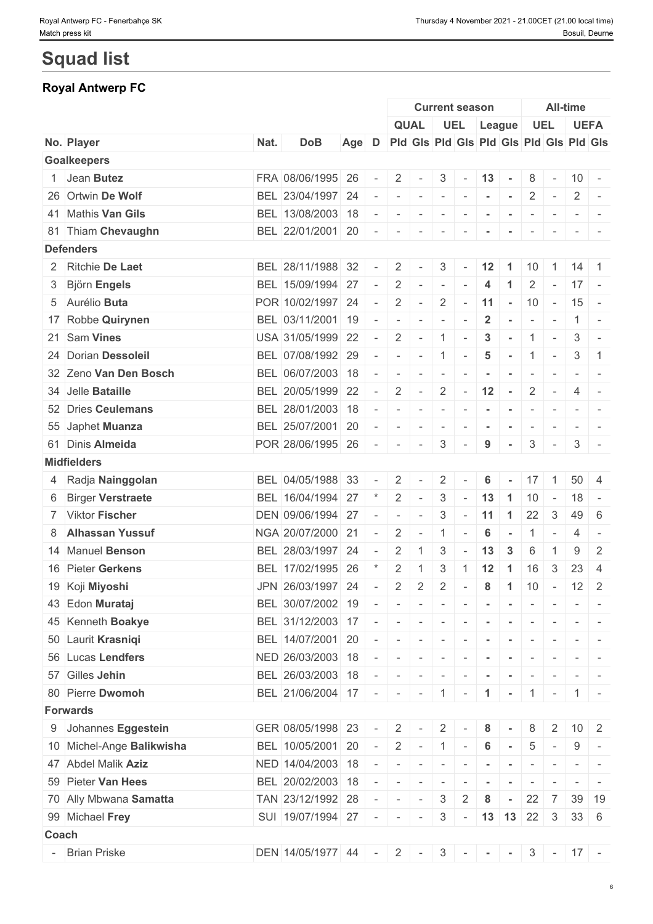# **Squad list**

# **Royal Antwerp FC**

|       |                           |      |                                                                    |                                               |        |                           |             |                                                                                                                           | <b>Current season</b>                                                                                                                                                                                  |                 |                               |                          |                          | <b>All-time</b>   |                                                                                                              |
|-------|---------------------------|------|--------------------------------------------------------------------|-----------------------------------------------|--------|---------------------------|-------------|---------------------------------------------------------------------------------------------------------------------------|--------------------------------------------------------------------------------------------------------------------------------------------------------------------------------------------------------|-----------------|-------------------------------|--------------------------|--------------------------|-------------------|--------------------------------------------------------------------------------------------------------------|
|       |                           |      |                                                                    |                                               |        |                           | <b>QUAL</b> |                                                                                                                           |                                                                                                                                                                                                        |                 | UEL League                    |                          | UEL                      |                   | <b>UEFA</b>                                                                                                  |
|       | No. Player                | Nat. | <b>DoB</b>                                                         | Age D Pid Gis Pid Gis Pid Gis Pid Gis Pid Gis |        |                           |             |                                                                                                                           |                                                                                                                                                                                                        |                 |                               |                          |                          |                   |                                                                                                              |
|       | <b>Goalkeepers</b>        |      |                                                                    |                                               |        |                           |             |                                                                                                                           |                                                                                                                                                                                                        |                 |                               |                          |                          |                   |                                                                                                              |
|       | 1 Jean Butez              |      | FRA 08/06/1995 26                                                  |                                               | $\sim$ | $\overline{2}$            | $\sim$      |                                                                                                                           | $3 - 13 -$                                                                                                                                                                                             |                 |                               |                          | $8 - 10 -$               |                   |                                                                                                              |
|       | 26 Ortwin De Wolf         |      | BEL 23/04/1997 24                                                  |                                               |        | $\sim$                    | $\sim$      | $\sim$                                                                                                                    | $\mathcal{L}^{\mathcal{A}}\left( \mathcal{A}^{\mathcal{A}}\right) =\mathcal{L}^{\mathcal{A}}\left( \mathcal{A}^{\mathcal{A}}\right) =\mathcal{L}^{\mathcal{A}}\left( \mathcal{A}^{\mathcal{A}}\right)$ |                 | $\sim$                        |                          | $2$ -                    |                   | $2$ -                                                                                                        |
|       | 41 Mathis Van Gils        |      | BEL 13/08/2003 18                                                  |                                               |        | $\sim$                    | $\sim$      | $\sim$                                                                                                                    | $\sim$                                                                                                                                                                                                 |                 |                               |                          |                          |                   |                                                                                                              |
|       | 81 Thiam Chevaughn        |      | BEL 22/01/2001 20                                                  |                                               | $\sim$ | $-1$                      |             | $\mathcal{L} = \{ \mathcal{L} \mid \mathcal{L} = 0 \}$                                                                    | $\mathbf{r}$                                                                                                                                                                                           | $\sim$          | $\sim$                        | $\sim$                   |                          |                   |                                                                                                              |
|       | <b>Defenders</b>          |      |                                                                    |                                               |        |                           |             |                                                                                                                           |                                                                                                                                                                                                        |                 |                               |                          |                          |                   |                                                                                                              |
|       | 2 Ritchie De Laet         |      | BEL 28/11/1988 32                                                  |                                               |        | 2                         |             | 3                                                                                                                         |                                                                                                                                                                                                        | 12              | $\overline{1}$                | 10                       |                          | $14 \mid 1$       |                                                                                                              |
|       | 3 Björn Engels            |      | BEL 15/09/1994 27                                                  |                                               | $\sim$ | $\overline{2}$            | $\sim$      | $\sim$                                                                                                                    | $\sim$                                                                                                                                                                                                 | 4               | $\blacktriangleleft$          | $\mathbf{2}$             | $\sim$                   | $17 -$            |                                                                                                              |
|       | 5 Aurélio Buta            |      | POR 10/02/1997 24                                                  |                                               | $\sim$ | 2                         |             |                                                                                                                           |                                                                                                                                                                                                        |                 | $-$ 2 - 11 - 10 - 15 -        |                          |                          |                   |                                                                                                              |
|       | 17 Robbe Quirynen         |      | BEL 03/11/2001 19                                                  |                                               |        | $\overline{\phantom{a}}$  | $\sim$      | $\sim$                                                                                                                    | $\sim$                                                                                                                                                                                                 | $\mathbf{2}$    | $\sim$                        | $\sim$                   | $\sim$                   | $\vert 1 \vert$ - |                                                                                                              |
|       | 21 Sam Vines              |      | USA 31/05/1999 22                                                  |                                               | $\sim$ | $\overline{2}$            | $\sim$      | 1                                                                                                                         | $\sim$                                                                                                                                                                                                 | $\mathbf{3}$    | $\sim$                        | $\overline{1}$           | $\sim$                   | 3                 |                                                                                                              |
|       | 24 Dorian Dessoleil       |      | BEL 07/08/1992 29                                                  |                                               |        | $\sim$                    |             |                                                                                                                           | $-1$ $-$                                                                                                                                                                                               | $5\phantom{.0}$ | $-11$                         |                          |                          | 3                 | $\vert$ 1                                                                                                    |
|       | 32 Zeno Van Den Bosch     |      | BEL 06/07/2003 18                                                  |                                               |        | $\overline{\phantom{a}}$  | $\sim$      | $\sim$                                                                                                                    | $\sim$                                                                                                                                                                                                 |                 |                               |                          |                          |                   |                                                                                                              |
|       | 34 Jelle Bataille         |      | BEL 20/05/1999 22                                                  |                                               | $\sim$ | $\overline{2}$            | $\sim$      | $\overline{2}$                                                                                                            | $\sim$                                                                                                                                                                                                 | 12              | $\sim$                        | $\mathbf{2}$             | $\overline{\phantom{a}}$ | 4                 |                                                                                                              |
|       | 52 Dries Ceulemans        |      | BEL 28/01/2003 18                                                  |                                               |        | $\sim$                    |             | $-1 - 1 - 1 - 1$                                                                                                          |                                                                                                                                                                                                        |                 | the company of the company of | $\sim$                   | $\sim$                   |                   | $\mathcal{L} = \{ \mathcal{L} \mid \mathcal{L} \in \mathcal{L} \}$                                           |
|       | 55 Japhet Muanza          |      | BEL 25/07/2001 20                                                  |                                               |        | $\overline{\phantom{a}}$  | $\sim$      | $\sim$                                                                                                                    | $\sim$                                                                                                                                                                                                 |                 |                               | $\overline{\phantom{a}}$ |                          |                   |                                                                                                              |
|       | 61 Dinis Almeida          |      | POR 28/06/1995 26                                                  |                                               |        | $\sim$                    | $\sim$      | 3                                                                                                                         | $\overline{\phantom{a}}$                                                                                                                                                                               | 9               | $\blacksquare$                | 3                        | $\sim$ $-$               |                   | $3$ -                                                                                                        |
|       | <b>Midfielders</b>        |      |                                                                    |                                               |        |                           |             |                                                                                                                           |                                                                                                                                                                                                        |                 |                               |                          |                          |                   |                                                                                                              |
|       | 4 Radja Nainggolan        |      | BEL 04/05/1988 33                                                  |                                               |        | $\overline{2}$            |             | $\overline{2}$                                                                                                            |                                                                                                                                                                                                        | 6               | $\sim$                        | 17                       | $-1$                     | $50 \mid 4$       |                                                                                                              |
|       | 6 Birger Verstraete       |      | BEL 16/04/1994 27                                                  |                                               |        | 2                         | $\sim$      | $\mathbf{3}$                                                                                                              | $\sim$ $-$                                                                                                                                                                                             | 13              | $\overline{1}$                | 10                       | $\overline{\phantom{a}}$ | $18 -$            |                                                                                                              |
|       | 7 Viktor Fischer          |      | DEN 09/06/1994 27                                                  |                                               |        | $\overline{\phantom{a}}$  | $\sim$      | 3                                                                                                                         | $\sim$                                                                                                                                                                                                 | 11              | $\overline{1}$                | 22                       | $\mathbf{3}$             | $49 \mid 6$       |                                                                                                              |
|       | 8 Alhassan Yussuf         |      | NGA 20/07/2000 21                                                  |                                               |        | $\overline{2}$            | $\sim$      | $\overline{1}$                                                                                                            | $\overline{\phantom{a}}$                                                                                                                                                                               | 6               | $\sim$                        |                          | $1 -$                    | 4                 | $\sim$                                                                                                       |
|       | 14 Manuel Benson          |      | BEL 28/03/1997 24                                                  |                                               | $\sim$ | 2                         | -1          | 3                                                                                                                         | $\sim$                                                                                                                                                                                                 | 13              | $\mathbf{3}$                  | 6                        | $\overline{1}$           | 9                 | $\overline{2}$                                                                                               |
|       | 16 Pieter Gerkens         |      | BEL 17/02/1995 26                                                  |                                               |        | 2                         |             | 3                                                                                                                         | -1                                                                                                                                                                                                     | 12              | $\overline{1}$                | 16                       | 3                        | 23                | $\overline{4}$                                                                                               |
|       | 19 Koji Miyoshi           |      | JPN 26/03/1997 24                                                  |                                               | $\sim$ | $\overline{2}$            | 2           | $\overline{2}$                                                                                                            |                                                                                                                                                                                                        | 8               |                               | 10                       |                          | $12 \mid 2$       |                                                                                                              |
|       |                           |      |                                                                    |                                               |        |                           |             |                                                                                                                           | $\sim$                                                                                                                                                                                                 |                 | $\overline{1}$                |                          | $\sim$ $-$               |                   |                                                                                                              |
|       | 43 Edon Murataj           |      | BEL 30/07/2002 19                                                  |                                               |        | $\sim$                    |             |                                                                                                                           | $     -$                                                                                                                                                                                               |                 | $\sim$                        | $\sim$                   |                          |                   | $\frac{1}{2} \left( \frac{1}{2} \right) \left( \frac{1}{2} \right) = \frac{1}{2} \left( \frac{1}{2} \right)$ |
|       | 45 Kenneth Boakye         |      | BEL 31/12/2003 17                                                  |                                               | $\sim$ | $\sim$                    | $\sim$      | $\sim$                                                                                                                    | $\sim$                                                                                                                                                                                                 | $\sim$          |                               |                          |                          |                   |                                                                                                              |
|       | 50 Laurit Krasniqi        |      | BEL 14/07/2001 20                                                  |                                               | $\sim$ |                           | .           |                                                                                                                           |                                                                                                                                                                                                        |                 |                               | $\sim$                   | $\sim$                   |                   |                                                                                                              |
|       | 56 Lucas Lendfers         |      | NED 26/03/2003 18                                                  |                                               |        | $\sim$                    |             |                                                                                                                           | $    -$                                                                                                                                                                                                |                 | $\sim$                        | $\sim$                   |                          |                   |                                                                                                              |
|       | 57 Gilles Jehin           |      | BEL 26/03/2003 18                                                  |                                               |        | $\mathbf{r}$              | $\sim$      | $\sim$                                                                                                                    |                                                                                                                                                                                                        |                 |                               |                          |                          |                   |                                                                                                              |
|       | 80 Pierre Dwomoh          |      | BEL 21/06/2004 17 - - - - 1 -                                      |                                               |        |                           |             |                                                                                                                           |                                                                                                                                                                                                        | $\mathbf{1}$    | $\sim$                        |                          | $1$ -                    |                   | $1 -$                                                                                                        |
|       | <b>Forwards</b>           |      |                                                                    |                                               |        |                           |             |                                                                                                                           |                                                                                                                                                                                                        |                 |                               |                          |                          |                   |                                                                                                              |
|       | 9 Johannes Eggestein      |      | GER 08/05/1998 23                                                  |                                               |        | 2                         |             | 2                                                                                                                         |                                                                                                                                                                                                        | 8               |                               | 8                        | $\overline{2}$           |                   | $10 \mid 2$                                                                                                  |
|       | 10 Michel-Ange Balikwisha |      | BEL 10/05/2001 20                                                  |                                               | $\sim$ | $\overline{2}$            | $\sim$      | $\pm$ 1 $\pm$                                                                                                             | $\sim$                                                                                                                                                                                                 | 6               | $\sim$                        | 5                        | $\overline{\phantom{a}}$ | 9                 |                                                                                                              |
|       | 47 Abdel Malik Aziz       |      | NED 14/04/2003 18                                                  |                                               |        | $\mathbf{r} = \mathbf{r}$ | $\sim$      | $\mathbb{R}$                                                                                                              | $\sim$                                                                                                                                                                                                 |                 |                               |                          |                          |                   |                                                                                                              |
|       | 59 Pieter Van Hees        |      | BEL 20/02/2003 18                                                  |                                               |        | $\sim$                    |             | $\frac{1}{2} \left( \frac{1}{2} \right) \left( \frac{1}{2} \right) \left( \frac{1}{2} \right) \left( \frac{1}{2} \right)$ | $\sim$                                                                                                                                                                                                 |                 |                               | $\sim$                   | $\sim$                   |                   |                                                                                                              |
|       | 70 Ally Mbwana Samatta    |      | TAN 23/12/1992 28                                                  |                                               |        | $\sim$                    | $\sim$      | 3                                                                                                                         | 2                                                                                                                                                                                                      | 8               |                               | 22                       | 7                        |                   | 39 19                                                                                                        |
|       | 99 Michael Frey           |      | SUI 19/07/1994 27 - - -                                            |                                               |        |                           |             |                                                                                                                           |                                                                                                                                                                                                        |                 | $3$ - 13 13 22 3              |                          |                          | $33 \quad 6$      |                                                                                                              |
| Coach |                           |      |                                                                    |                                               |        |                           |             |                                                                                                                           |                                                                                                                                                                                                        |                 |                               |                          |                          |                   |                                                                                                              |
|       | - Brian Priske            |      | DEN   14/05/1977   44   -   2   -   3   -   -   -   3   -   17   - |                                               |        |                           |             |                                                                                                                           |                                                                                                                                                                                                        |                 |                               |                          |                          |                   |                                                                                                              |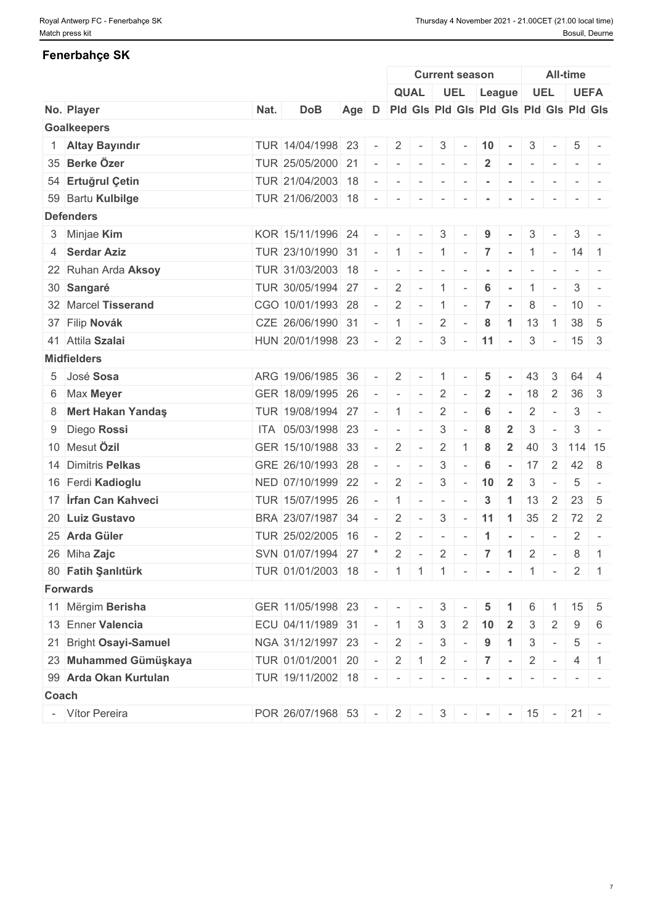### **Fenerbahçe SK**

|                             |      |                                             |     |                          |                                                                                                                                                  |                          |                                   | <b>Current season</b>    |                 |                      |                          |                          | <b>All-time</b>            |                                                                                   |
|-----------------------------|------|---------------------------------------------|-----|--------------------------|--------------------------------------------------------------------------------------------------------------------------------------------------|--------------------------|-----------------------------------|--------------------------|-----------------|----------------------|--------------------------|--------------------------|----------------------------|-----------------------------------------------------------------------------------|
|                             |      |                                             |     |                          |                                                                                                                                                  | <b>QUAL</b>              |                                   | UEL League               |                 |                      |                          | <b>UEL</b>               |                            | <b>UEFA</b>                                                                       |
| No. Player                  | Nat. | <b>DoB</b>                                  | Age | D                        |                                                                                                                                                  |                          |                                   |                          |                 |                      |                          |                          |                            | Pid Gis Pid Gis Pid Gis Pid Gis Pid Gis                                           |
| <b>Goalkeepers</b>          |      |                                             |     |                          |                                                                                                                                                  |                          |                                   |                          |                 |                      |                          |                          |                            |                                                                                   |
| 1 Altay Bayındır            |      | TUR 14/04/1998 23                           |     |                          | 2                                                                                                                                                |                          | 3                                 | $\sim$                   | $10 -$          |                      | 3                        | $\overline{\phantom{a}}$ | 5                          |                                                                                   |
| 35 Berke Özer               |      | TUR 25/05/2000 21                           |     |                          | $\sim$                                                                                                                                           | $\sim$                   | $\sim$                            |                          | $\overline{2}$  | $\sim$               | $\sim$                   | $\sim$                   |                            |                                                                                   |
| 54 Ertuğrul Çetin           |      | TUR 21/04/2003 18                           |     |                          |                                                                                                                                                  | $\sim$                   | $\overline{\phantom{a}}$          |                          |                 |                      | $\overline{\phantom{a}}$ |                          |                            |                                                                                   |
| 59 Bartu Kulbilge           |      | TUR 21/06/2003 18                           |     |                          | $\overline{\phantom{a}}$                                                                                                                         |                          | $\overline{\phantom{a}}$          |                          |                 |                      |                          |                          |                            |                                                                                   |
| <b>Defenders</b>            |      |                                             |     |                          |                                                                                                                                                  |                          |                                   |                          |                 |                      |                          |                          |                            |                                                                                   |
| 3 Minjae Kim                |      | KOR 15/11/1996 24                           |     | $\overline{\phantom{a}}$ | $\sim$                                                                                                                                           | $\sim$                   | $\mathbf{3}$                      |                          | 9               |                      | 3                        |                          | 3                          |                                                                                   |
| 4 Serdar Aziz               |      | TUR 23/10/1990 31                           |     | $\sim$                   | $\overline{1}$                                                                                                                                   |                          | $-1$                              | $\sim$                   | $\overline{7}$  | $\sim$ 100           |                          | $1 -$                    | $\vert 14 \vert 1$         |                                                                                   |
| 22 Ruhan Arda Aksoy         |      | TUR 31/03/2003 18                           |     | $\overline{\phantom{a}}$ | $\sim$                                                                                                                                           | $\sim$                   | $\sim$                            |                          |                 |                      | $\overline{\phantom{a}}$ |                          |                            |                                                                                   |
| 30 Sangaré                  |      | TUR 30/05/1994 27                           |     |                          | $\overline{2}$                                                                                                                                   | $\sim$                   | $\overline{1}$                    |                          | 6               |                      | $\mathbf{1}$             | $\sim$                   | 3                          | $\sim$                                                                            |
| 32 Marcel Tisserand         |      | CGO 10/01/1993 28                           |     | $\sim$                   | 2                                                                                                                                                | $\sim$                   | $\begin{bmatrix} 1 \end{bmatrix}$ | $\sim$                   | $\overline{7}$  | $\sim$               | 8                        | $\sim$                   |                            | $10 -$                                                                            |
| 37 Filip Novák              |      | CZE 26/06/1990 31                           |     | $\sim$                   | $\overline{1}$                                                                                                                                   | $\sim$                   | $\overline{2}$                    | $\overline{\phantom{a}}$ | 8               | $\blacktriangleleft$ | 13                       | $\overline{1}$           |                            | $38 \mid 5$                                                                       |
| 41 Attila Szalai            |      | HUN 20/01/1998 23                           |     | $\sim$                   | $\overline{2}$                                                                                                                                   | $\sim$                   |                                   | $3 - 11 -$               |                 |                      |                          | $3 -$                    |                            | $15 \quad 3$                                                                      |
| <b>Midfielders</b>          |      |                                             |     |                          |                                                                                                                                                  |                          |                                   |                          |                 |                      |                          |                          |                            |                                                                                   |
| 5 José Sosa                 |      | ARG 19/06/1985 36                           |     |                          | 2                                                                                                                                                |                          |                                   |                          | 5               |                      | 43                       | 3                        | 64                         | $\overline{4}$                                                                    |
| 6 Max Meyer                 |      | GER 18/09/1995 26                           |     |                          | $\sim$                                                                                                                                           | $\sim$                   | $\overline{2}$                    |                          | $\mathbf{2}$    |                      | 18                       | 2                        | 36                         | $\mathbf{3}$                                                                      |
| 8 Mert Hakan Yandaş         |      | TUR 19/08/1994 27                           |     |                          | $\overline{1}$                                                                                                                                   | $\sim$                   | $\overline{2}$                    | $\sim$                   | 6               | $\sim$               | $\overline{2}$           | $\sim$                   | 3                          | $\sim$                                                                            |
| 9 Diego Rossi               |      | ITA 05/03/1998 23                           |     |                          | $\overline{\phantom{a}}$                                                                                                                         | $\overline{\phantom{a}}$ | 3                                 |                          | 8               | $\overline{2}$       | 3                        |                          | 3                          | $\overline{\phantom{a}}$                                                          |
| 10 Mesut Özil               |      | GER 15/10/1988 33                           |     |                          | 2                                                                                                                                                |                          | $\overline{2}$                    |                          | 8               | $\overline{2}$       | 40                       | 3                        |                            | 114 15                                                                            |
| 14 Dimitris Pelkas          |      | GRE 26/10/1993 28                           |     |                          | $\sim$                                                                                                                                           | $\sim$                   | 3                                 | $\overline{\phantom{a}}$ | $6\phantom{1}6$ | $\sim$               |                          | $17 \quad 2$             |                            | $42 \mid 8$                                                                       |
| 16 Ferdi Kadioglu           |      | NED 07/10/1999 22                           |     | $\sim$                   | 2                                                                                                                                                | $\sim$                   | 3                                 | $\sim$                   | 10              | $\overline{2}$       | 3                        | $\overline{\phantom{a}}$ | 5                          | $\overline{\phantom{a}}$                                                          |
| 17 <b>Irfan Can Kahveci</b> |      | TUR 15/07/1995 26                           |     |                          | $\overline{1}$                                                                                                                                   | $\sim$                   | $\sim$                            | $\overline{\phantom{a}}$ | $\mathbf{3}$    | $\blacktriangleleft$ | 13                       | 2                        | 23                         | - 5                                                                               |
| 20 Luiz Gustavo             |      | BRA 23/07/1987 34                           |     |                          | 2                                                                                                                                                | $\sim$                   | 3                                 |                          | $-11$           | $\overline{1}$       | 35                       | $\overline{2}$           |                            | $72 \mid 2$                                                                       |
| 25 Arda Güler               |      | TUR 25/02/2005 16                           |     |                          | 2                                                                                                                                                |                          | $\overline{\phantom{a}}$          |                          |                 |                      | $\overline{\phantom{a}}$ |                          | 2                          | $\overline{\phantom{a}}$                                                          |
| 26 Miha Zajc                |      | SVN 01/07/1994 27                           |     |                          | 2                                                                                                                                                |                          | $\overline{2}$                    |                          | $\overline{7}$  | $\blacktriangleleft$ | $\overline{2}$           | $\sim$                   | 8                          | $\overline{1}$                                                                    |
|                             |      |                                             |     |                          |                                                                                                                                                  |                          |                                   | $\sim$                   |                 |                      |                          |                          |                            |                                                                                   |
| 80 Fatih Şanlıtürk          |      | TUR 01/01/2003 18 - 1 1 1 - - - 1 - 1 - 2 1 |     |                          |                                                                                                                                                  |                          |                                   |                          |                 |                      |                          |                          |                            |                                                                                   |
| <b>Forwards</b>             |      |                                             |     |                          |                                                                                                                                                  |                          |                                   |                          |                 |                      |                          |                          |                            |                                                                                   |
| 11 Mërgim Berisha           |      | GER 11/05/1998 23                           |     |                          |                                                                                                                                                  |                          | 3                                 |                          | 5               |                      | 6                        |                          |                            | $15 \quad 5$                                                                      |
| 13 Enner Valencia           |      | ECU 04/11/1989 31                           |     | $\sim$                   | $\overline{1}$                                                                                                                                   | $\mathbf{3}$             | 3                                 | 2                        | 10              | $\overline{2}$       |                          | 2                        | 9                          | 6                                                                                 |
| 21 Bright Osayi-Samuel      |      | NGA 31/12/1997 23                           |     |                          | 2                                                                                                                                                | $\sim$                   | $\mathbf{3}$                      | $\sim$                   | 9               | $\blacktriangleleft$ | $\mathfrak{Z}$           | $\vert \cdot \vert$      | 5                          | $\sim$                                                                            |
| 23 Muhammed Gümüşkaya       |      | TUR 01/01/2001 20                           |     | $\sim$ $-$               | 2                                                                                                                                                | $\mathbf{1}$             | $\overline{2}$                    | $\sim$                   | $\overline{7}$  | $\sim$               | $\overline{2}$           | $\mathbf{r}$             |                            | $4 \mid 1$                                                                        |
| 99 Arda Okan Kurtulan       |      | TUR 19/11/2002 18                           |     |                          | $\mathcal{L} = \left\{ \begin{array}{cc} \mathcal{L} & \mathcal{L} & \mathcal{L} \\ \mathcal{L} & \mathcal{L} & \mathcal{L} \end{array} \right.$ | $\sim$                   | $\sim$                            | $\sim$                   | $\blacksquare$  | $\sim$               | $\sim$                   | $\mathbf{r}$             |                            | $\frac{1}{2} \left( \frac{1}{2} \right) \left( \frac{1}{2} \right) = \frac{1}{2}$ |
| <b>Coach</b>                |      |                                             |     |                          |                                                                                                                                                  |                          |                                   |                          |                 |                      |                          |                          |                            |                                                                                   |
| - Vítor Pereira             |      | POR 26/07/1968 53                           |     |                          |                                                                                                                                                  |                          |                                   |                          |                 |                      |                          |                          | $-2$ $-3$ $  15$ $ 21$ $-$ |                                                                                   |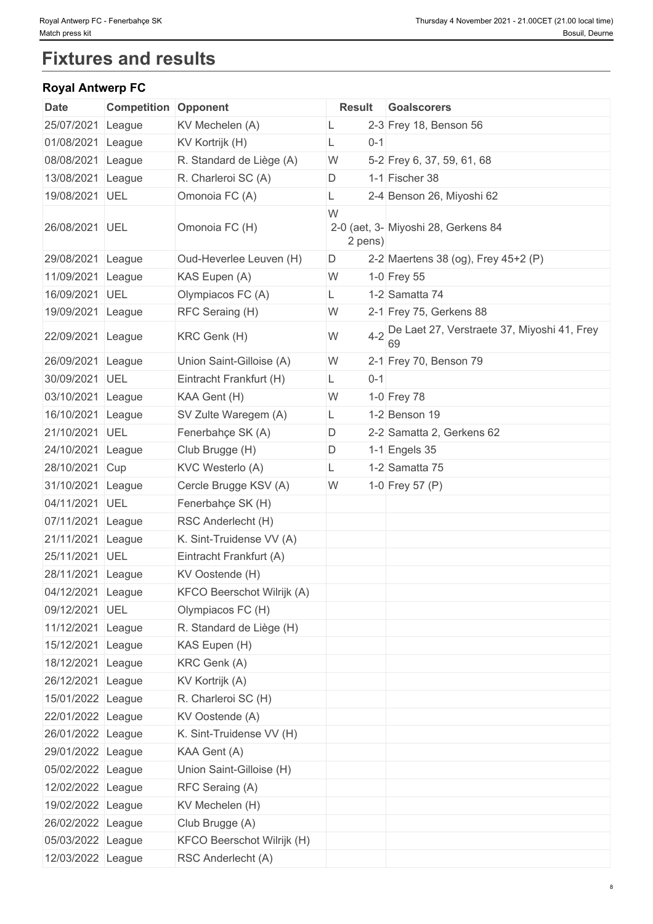# **Fixtures and results**

### **Royal Antwerp FC**

| <b>Date</b>       | <b>Competition Opponent</b> |                            | <b>Result</b> |         | <b>Goalscorers</b>                                    |
|-------------------|-----------------------------|----------------------------|---------------|---------|-------------------------------------------------------|
| 25/07/2021        | League                      | KV Mechelen (A)            | L             |         | 2-3 Frey 18, Benson 56                                |
| 01/08/2021 League |                             | KV Kortrijk (H)            | L             | $0 - 1$ |                                                       |
| 08/08/2021 League |                             | R. Standard de Liège (A)   | W             |         | 5-2 Frey 6, 37, 59, 61, 68                            |
| 13/08/2021 League |                             | R. Charleroi SC (A)        | D             |         | 1-1 Fischer 38                                        |
| 19/08/2021 UEL    |                             | Omonoia FC (A)             |               |         | 2-4 Benson 26, Miyoshi 62                             |
| 26/08/2021 UEL    |                             | Omonoia FC (H)             | W<br>2 pens)  |         | 2-0 (aet, 3- Miyoshi 28, Gerkens 84                   |
| 29/08/2021 League |                             | Oud-Heverlee Leuven (H)    | D             |         | 2-2 Maertens 38 (og), Frey 45+2 (P)                   |
| 11/09/2021 League |                             | KAS Eupen (A)              | W             |         | 1-0 Frey 55                                           |
| 16/09/2021 UEL    |                             | Olympiacos FC (A)          | L.            |         | 1-2 Samatta 74                                        |
| 19/09/2021 League |                             | RFC Seraing (H)            | W             |         | 2-1 Frey 75, Gerkens 88                               |
| 22/09/2021 League |                             | KRC Genk (H)               | W             |         | 4-2 De Laet 27, Verstraete 37, Miyoshi 41, Frey<br>69 |
| 26/09/2021 League |                             | Union Saint-Gilloise (A)   | W             |         | 2-1 Frey 70, Benson 79                                |
| 30/09/2021 UEL    |                             | Eintracht Frankfurt (H)    | L.            | $0 - 1$ |                                                       |
| 03/10/2021 League |                             | KAA Gent (H)               | W             |         | 1-0 Frey 78                                           |
| 16/10/2021 League |                             | SV Zulte Waregem (A)       | L.            |         | 1-2 Benson 19                                         |
| 21/10/2021 UEL    |                             | Fenerbahçe SK (A)          | D             |         | 2-2 Samatta 2, Gerkens 62                             |
| 24/10/2021 League |                             | Club Brugge (H)            | D             |         | 1-1 Engels 35                                         |
| 28/10/2021 Cup    |                             | KVC Westerlo (A)           | L             |         | 1-2 Samatta 75                                        |
| 31/10/2021 League |                             | Cercle Brugge KSV (A)      | W             |         | 1-0 Frey 57 (P)                                       |
| 04/11/2021 UEL    |                             | Fenerbahçe SK (H)          |               |         |                                                       |
| 07/11/2021 League |                             | RSC Anderlecht (H)         |               |         |                                                       |
| 21/11/2021 League |                             | K. Sint-Truidense VV (A)   |               |         |                                                       |
| 25/11/2021 UEL    |                             | Eintracht Frankfurt (A)    |               |         |                                                       |
| 28/11/2021 League |                             | KV Oostende (H)            |               |         |                                                       |
| 04/12/2021 League |                             | KFCO Beerschot Wilrijk (A) |               |         |                                                       |
| 09/12/2021 UEL    |                             | Olympiacos FC (H)          |               |         |                                                       |
| 11/12/2021 League |                             | R. Standard de Liège (H)   |               |         |                                                       |
| 15/12/2021 League |                             | KAS Eupen (H)              |               |         |                                                       |
| 18/12/2021 League |                             | KRC Genk (A)               |               |         |                                                       |
| 26/12/2021 League |                             | KV Kortrijk (A)            |               |         |                                                       |
| 15/01/2022 League |                             | R. Charleroi SC (H)        |               |         |                                                       |
| 22/01/2022 League |                             | KV Oostende (A)            |               |         |                                                       |
| 26/01/2022 League |                             | K. Sint-Truidense VV (H)   |               |         |                                                       |
| 29/01/2022 League |                             | KAA Gent (A)               |               |         |                                                       |
| 05/02/2022 League |                             | Union Saint-Gilloise (H)   |               |         |                                                       |
| 12/02/2022 League |                             | RFC Seraing (A)            |               |         |                                                       |
| 19/02/2022 League |                             | KV Mechelen (H)            |               |         |                                                       |
| 26/02/2022 League |                             | Club Brugge (A)            |               |         |                                                       |
| 05/03/2022 League |                             | KFCO Beerschot Wilrijk (H) |               |         |                                                       |
| 12/03/2022 League |                             | RSC Anderlecht (A)         |               |         |                                                       |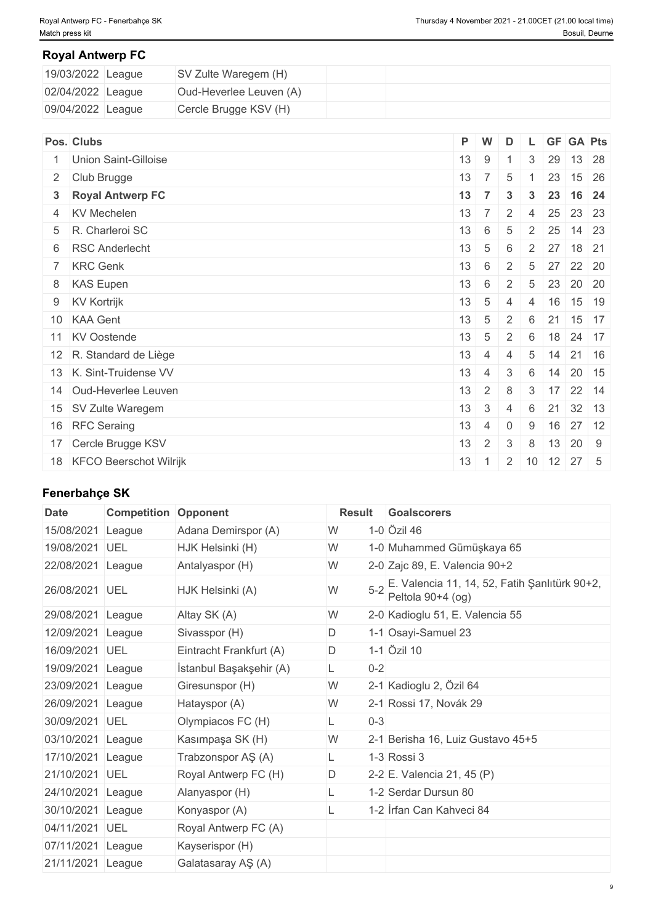#### **Royal Antwerp FC**

| 19/03/2022 League | SV Zulte Waregem (H)    |  |
|-------------------|-------------------------|--|
| 02/04/2022 League | Oud-Heverlee Leuven (A) |  |
| 09/04/2022 League | Cercle Brugge KSV (H)   |  |

| Pos. Clubs                | P W          |                  | D                                 |                 |                   | L GF GA Pts                               |
|---------------------------|--------------|------------------|-----------------------------------|-----------------|-------------------|-------------------------------------------|
| Union Saint-Gilloise      | 13           | 9                | $\overline{1}$                    | 3               | 29                | 13 28                                     |
| 2 Club Brugge             |              | $13 \mid 7 \mid$ | $\overline{5}$                    |                 | 23                | $15 \mid 26$                              |
| 3 Royal Antwerp FC        | 13           | $\overline{7}$   | $\mathbf{3}$                      | $3^{\circ}$     |                   | 23 16 24                                  |
| 4 KV Mechelen             |              | $13 \mid 7 \mid$ |                                   |                 |                   | 2 4 25 23 23                              |
| 5 R. Charleroi SC         | $13 \mid 6$  |                  | $5\phantom{.0}$                   |                 | $2 \mid 25 \mid$  | 14 23                                     |
| 6 RSC Anderlecht          | 13           | 5 <sup>1</sup>   | 6                                 |                 | $2 \overline{27}$ | 18 21                                     |
| 7 KRC Genk                | $13 \quad 6$ |                  | 2                                 | $5\overline{)}$ |                   | 27 22 20                                  |
| 8 KAS Eupen               | $+13$        | 6                | 2                                 | $5\overline{)}$ |                   | 23 20 20                                  |
| 9 KV Kortrijk             | $13 \mid 5$  |                  | $\overline{4}$                    | $-4$            |                   | 16 15 19                                  |
| 10 KAA Gent               |              |                  | $13 \mid 5 \mid 2 \mid 6 \mid 21$ |                 |                   | $15$ 17                                   |
| 11 KV Oostende            | 13           |                  |                                   |                 |                   | $5 \mid 2 \mid 6 \mid 18 \mid 24 \mid 17$ |
| 12 R. Standard de Liège   | 13           | $\overline{4}$   | 4                                 |                 |                   | $5 \mid 14 \mid 21 \mid 16$               |
| 13 K. Sint-Truidense VV   | 13           | $\overline{4}$   | $\mathfrak{Z}$                    | 6               |                   | $14$ 20 15                                |
| 14 Oud-Heverlee Leuven    | 13           | $2^{\circ}$      | 8                                 | $\mathbf{3}$    |                   | $17$ 22 14                                |
| 15 SV Zulte Waregem       | 13           | $\mathbf{3}$     | $\overline{4}$                    | 6               | 21                | 32 13                                     |
| 16 RFC Seraing            | 13           | $\overline{4}$   | $\overline{0}$                    | 9               |                   | $16$ 27 12                                |
| 17 Cercle Brugge KSV      | 13           | $\overline{2}$   | 3                                 | 8               | 13                | 20 9                                      |
| 18 KFCO Beerschot Wilrijk | 13           |                  |                                   |                 |                   | $2 \mid 10 \mid 12 \mid 27 \mid 5$        |

## **Fenerbahçe SK**

| <b>Date</b>       | <b>Competition Opponent</b> |                         | <b>Result</b> | <b>Goalscorers</b>                                                 |
|-------------------|-----------------------------|-------------------------|---------------|--------------------------------------------------------------------|
| 15/08/2021        | League                      | Adana Demirspor (A)     | W             | 1-0 Özil 46                                                        |
| 19/08/2021        | UEL                         | HJK Helsinki (H)        | W             | 1-0 Muhammed Gümüşkaya 65                                          |
| 22/08/2021        | League                      | Antalyaspor (H)         | W             | 2-0 Zajc 89, E. Valencia 90+2                                      |
| 26/08/2021 UEL    |                             | HJK Helsinki (A)        | W             | E. Valencia 11, 14, 52, Fatih Şanlıtürk 90+2,<br>Peltola 90+4 (og) |
| 29/08/2021 League |                             | Altay SK (A)            | W             | 2-0 Kadioglu 51, E. Valencia 55                                    |
| 12/09/2021 League |                             | Sivasspor (H)           | D             | 1-1 Osayi-Samuel 23                                                |
| 16/09/2021 UEL    |                             | Eintracht Frankfurt (A) | D             | 1-1 Özil 10                                                        |
| 19/09/2021 League |                             | İstanbul Başakşehir (A) | $0 - 2$<br>L. |                                                                    |
| 23/09/2021 League |                             | Giresunspor (H)         | W             | 2-1 Kadioglu 2, Özil 64                                            |
| 26/09/2021 League |                             | Hatayspor (A)           | W             | 2-1 Rossi 17, Novák 29                                             |
| 30/09/2021 UEL    |                             | Olympiacos FC (H)       | $0 - 3$       |                                                                    |
| 03/10/2021 League |                             | Kasımpaşa SK (H)        | W             | 2-1 Berisha 16, Luiz Gustavo 45+5                                  |
| 17/10/2021 League |                             | Trabzonspor AŞ (A)      | L.            | 1-3 Rossi 3                                                        |
| 21/10/2021 UEL    |                             | Royal Antwerp FC (H)    | D             | 2-2 E. Valencia 21, 45 (P)                                         |
| 24/10/2021 League |                             | Alanyaspor (H)          |               | 1-2 Serdar Dursun 80                                               |
| 30/10/2021        | League                      | Konyaspor (A)           | L             | 1-2 Irfan Can Kahveci 84                                           |
| 04/11/2021 UEL    |                             | Royal Antwerp FC (A)    |               |                                                                    |
| 07/11/2021        | League                      | Kayserispor (H)         |               |                                                                    |
| 21/11/2021 League |                             | Galatasaray AŞ (A)      |               |                                                                    |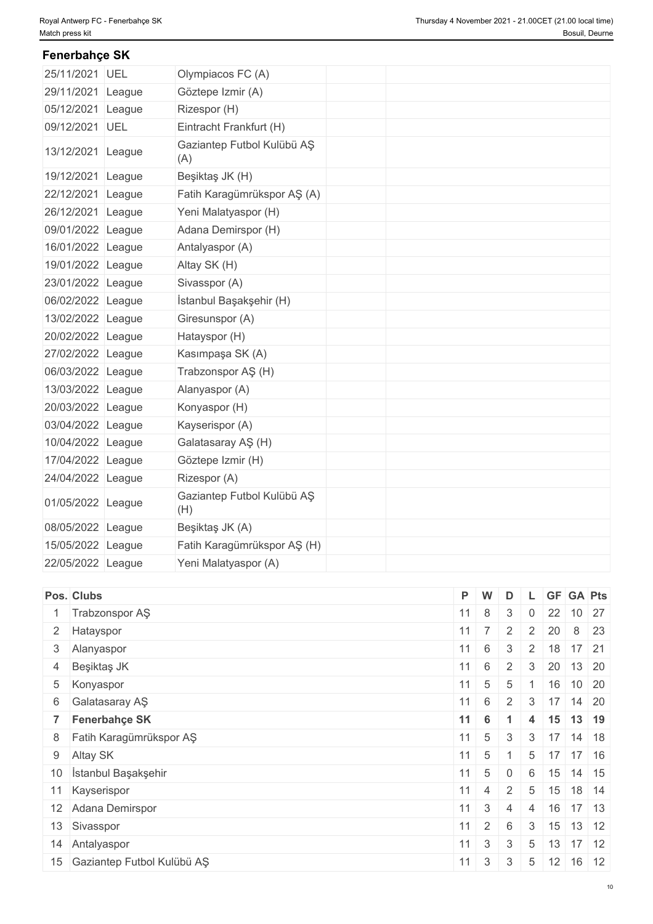## 25/11/2021 UEL Olympiacos FC (A) 29/11/2021 League Göztepe Izmir (A) 05/12/2021 League Rizespor (H) 09/12/2021 UEL Eintracht Frankfurt (H) 13/12/2021 League Gaziantep Futbol Kulübü AŞ (A) 19/12/2021 League Beşiktaş JK (H) 22/12/2021 League Fatih Karagümrükspor AŞ (A) 26/12/2021 League Yeni Malatyaspor (H) 09/01/2022 League Adana Demirspor (H) 16/01/2022 League Antalyaspor (A) 19/01/2022 League Altay SK (H) 23/01/2022 League Sivasspor (A) 06/02/2022 League İstanbul Başakşehir (H) 13/02/2022 League Giresunspor (A) 20/02/2022 League Hatayspor (H) 27/02/2022 League Kasımpaşa SK (A) 06/03/2022 League Trabzonspor AŞ (H) 13/03/2022 League Alanyaspor (A) 20/03/2022 League Konyaspor (H) 03/04/2022 League Kayserispor (A) 10/04/2022 League Galatasaray AŞ (H) 17/04/2022 League Göztepe Izmir (H) 24/04/2022 League Rizespor (A) 01/05/2022 League Gaziantep Futbol Kulübü AŞ (H) 08/05/2022 League Beşiktaş JK (A) 15/05/2022 League Fatih Karagümrükspor AŞ (H) 22/05/2022 League Yeni Malatyaspor (A) **Fenerbahçe SK**

| Pos. Clubs                    | P W              |                      | D              |                 |                  | L GF GA Pts                 |
|-------------------------------|------------------|----------------------|----------------|-----------------|------------------|-----------------------------|
| 1 Trabzonspor AŞ              | $11 \mid 8$      |                      | 3              | $\overline{0}$  | 22               | 10 27                       |
| 2 Hatayspor                   |                  | $11 \mid 7 \mid$     |                | $2 \mid 2 \mid$ | 20               | 8 23                        |
| 3 Alanyaspor                  | $11 \quad 6$     |                      | $\mathbf{3}$   |                 |                  | $2 \mid 18 \mid 17 \mid 21$ |
| 4 Beşiktaş JK                 | $11 \quad 6$     |                      | 2              | $\mathbf{3}$    |                  | $20$ 13 20                  |
| 5 Konyaspor                   |                  | $11 \quad 5$         | 5              |                 |                  | 16 10 20                    |
| 6 Galatasaray AŞ              | $11 \quad 6$     |                      | 2              |                 |                  | $3 \mid 17 \mid 14 \mid 20$ |
| 7 Fenerbahçe SK               |                  | $11 \quad 6$         |                | $\overline{4}$  |                  | 15 13 19                    |
| 8 Fatih Karagümrükspor AŞ     |                  | $11 \quad 5 \quad 3$ |                |                 |                  | $3 \mid 17 \mid 14 \mid 18$ |
| 9 Altay SK                    | $11 \quad 5$     |                      |                | $5\overline{)}$ |                  | $17$ 17 16                  |
| 10 İstanbul Başakşehir        | $11 \mid 5$      |                      | $\overline{0}$ | 6               |                  | $15$ 14 15                  |
| 11 Kayserispor                |                  | $11 \mid 4$          | $\frac{1}{2}$  |                 |                  | $5 \mid 15 \mid 18 \mid 14$ |
| 12 Adana Demirspor            | $11 \quad 3$     |                      | $\overline{4}$ | $\overline{4}$  |                  | $16$ 17 13                  |
| 13 Sivasspor                  | $11 \mid 2 \mid$ |                      | 6              | 3               |                  | $15$ 13 12                  |
| 14 Antalyaspor                |                  | $11 \quad 3$         | $\mathbf{3}$   |                 |                  | $5 \mid 13 \mid 17 \mid 12$ |
| 15 Gaziantep Futbol Kulübü AŞ | 11               | $\mathbf{3}$         | 3              |                 | $5 \mid 12 \mid$ | $16$ 12                     |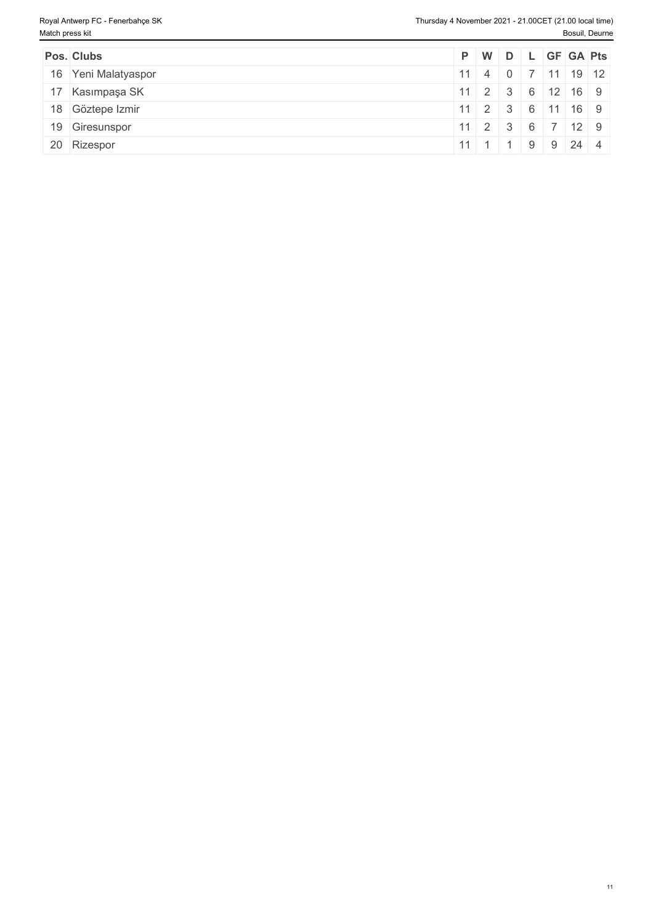| Pos. Clubs          |  |  | $P$ $W$ $D$ $L$ $GF$ $GA$ $Pts$                        |  |
|---------------------|--|--|--------------------------------------------------------|--|
| 16 Yeni Malatyaspor |  |  | $11 \mid 4 \mid 0 \mid 7 \mid 11 \mid 19 \mid 12 \mid$ |  |
| 17 Kasımpaşa SK     |  |  | $11 \t2 \t3 \t6 \t12 \t16 \t9$                         |  |
| 18 Göztepe Izmir    |  |  | 11 2 3 6 11 16 9                                       |  |
| 19 Giresunspor      |  |  | $11 \t2 \t3 \t6 \t7 \t12 \t9$                          |  |
| 20 Rizespor         |  |  | 11 1 1 9 9 24 4                                        |  |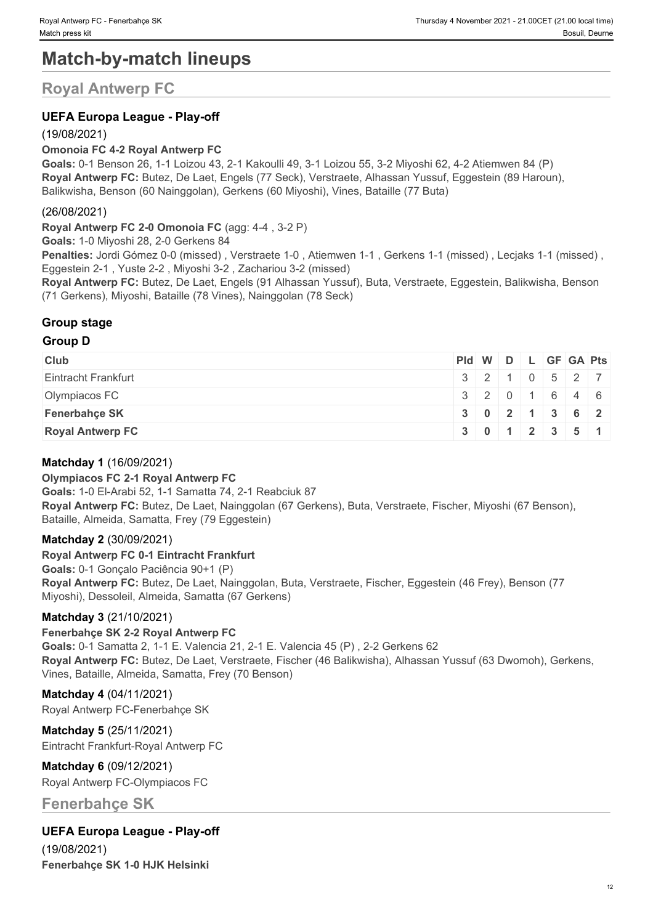# **Match-by-match lineups**

## **Royal Antwerp FC**

### **UEFA Europa League - Play-off**

### (19/08/2021)

#### **Omonoia FC 4-2 Royal Antwerp FC**

**Goals:** 0-1 Benson 26, 1-1 Loizou 43, 2-1 Kakoulli 49, 3-1 Loizou 55, 3-2 Miyoshi 62, 4-2 Atiemwen 84 (P) **Royal Antwerp FC:** Butez, De Laet, Engels (77 Seck), Verstraete, Alhassan Yussuf, Eggestein (89 Haroun), Balikwisha, Benson (60 Nainggolan), Gerkens (60 Miyoshi), Vines, Bataille (77 Buta)

#### (26/08/2021)

**Royal Antwerp FC 2-0 Omonoia FC** (agg: 4-4 , 3-2 P)

**Goals:** 1-0 Miyoshi 28, 2-0 Gerkens 84

**Penalties:** Jordi Gómez 0-0 (missed) , Verstraete 1-0 , Atiemwen 1-1 , Gerkens 1-1 (missed) , Lecjaks 1-1 (missed) , Eggestein 2-1 , Yuste 2-2 , Miyoshi 3-2 , Zachariou 3-2 (missed)

**Royal Antwerp FC:** Butez, De Laet, Engels (91 Alhassan Yussuf), Buta, Verstraete, Eggestein, Balikwisha, Benson (71 Gerkens), Miyoshi, Bataille (78 Vines), Nainggolan (78 Seck)

### **Group stage**

#### **Group D**

| <b>Club</b>             | Pid W D L GF GA Pts                           |  |  |                                               |
|-------------------------|-----------------------------------------------|--|--|-----------------------------------------------|
| Eintracht Frankfurt     |                                               |  |  | 3 2 1 0 5 27                                  |
| Olympiacos FC           |                                               |  |  | 3 2 0 1 6 4 6                                 |
| <b>Fenerbahce SK</b>    |                                               |  |  | $3 \mid 0 \mid 2 \mid 1 \mid 3 \mid 6 \mid 2$ |
| <b>Royal Antwerp FC</b> | $3 \mid 0 \mid 1 \mid 2 \mid 3 \mid 5 \mid 1$ |  |  |                                               |

#### **Matchday 1** (16/09/2021)

#### **Olympiacos FC 2-1 Royal Antwerp FC Goals:** 1-0 El-Arabi 52, 1-1 Samatta 74, 2-1 Reabciuk 87 **Royal Antwerp FC:** Butez, De Laet, Nainggolan (67 Gerkens), Buta, Verstraete, Fischer, Miyoshi (67 Benson), Bataille, Almeida, Samatta, Frey (79 Eggestein)

### **Matchday 2** (30/09/2021)

**Royal Antwerp FC 0-1 Eintracht Frankfurt Goals:** 0-1 Gonçalo Paciência 90+1 (P) **Royal Antwerp FC:** Butez, De Laet, Nainggolan, Buta, Verstraete, Fischer, Eggestein (46 Frey), Benson (77 Miyoshi), Dessoleil, Almeida, Samatta (67 Gerkens)

#### **Matchday 3** (21/10/2021)

#### **Fenerbahçe SK 2-2 Royal Antwerp FC Goals:** 0-1 Samatta 2, 1-1 E. Valencia 21, 2-1 E. Valencia 45 (P) , 2-2 Gerkens 62 **Royal Antwerp FC:** Butez, De Laet, Verstraete, Fischer (46 Balikwisha), Alhassan Yussuf (63 Dwomoh), Gerkens, Vines, Bataille, Almeida, Samatta, Frey (70 Benson)

**Matchday 4** (04/11/2021) Royal Antwerp FC-Fenerbahçe SK

**Matchday 5** (25/11/2021) Eintracht Frankfurt-Royal Antwerp FC

**Matchday 6** (09/12/2021) Royal Antwerp FC-Olympiacos FC

## **Fenerbahçe SK**

### **UEFA Europa League - Play-off**

(19/08/2021) **Fenerbahçe SK 1-0 HJK Helsinki**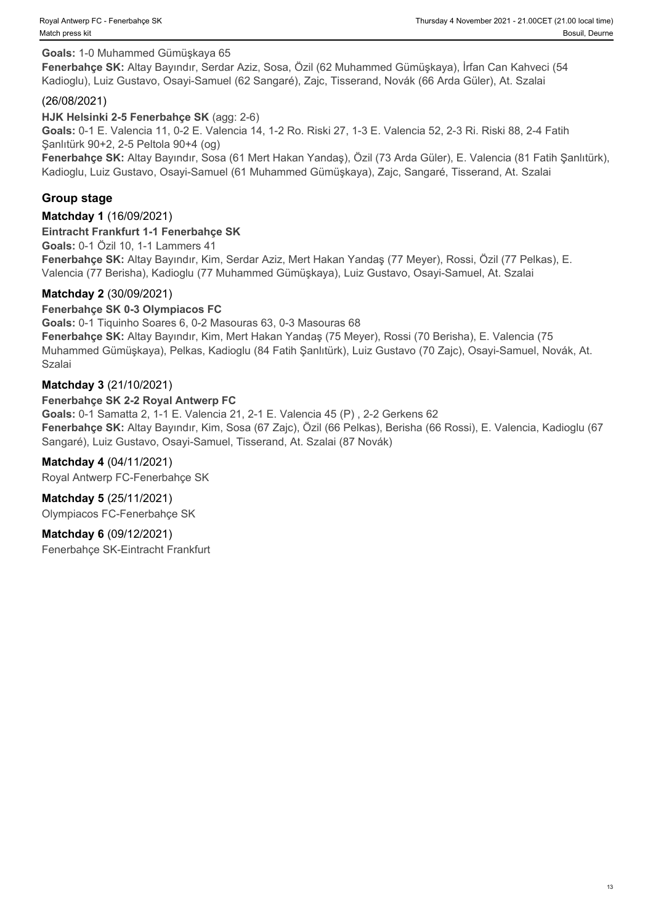#### **Goals:** 1-0 Muhammed Gümüşkaya 65

**Fenerbahçe SK:** Altay Bayındır, Serdar Aziz, Sosa, Özil (62 Muhammed Gümüşkaya), İrfan Can Kahveci (54 Kadioglu), Luiz Gustavo, Osayi-Samuel (62 Sangaré), Zajc, Tisserand, Novák (66 Arda Güler), At. Szalai

#### (26/08/2021)

#### **HJK Helsinki 2-5 Fenerbahçe SK** (agg: 2-6)

**Goals:** 0-1 E. Valencia 11, 0-2 E. Valencia 14, 1-2 Ro. Riski 27, 1-3 E. Valencia 52, 2-3 Ri. Riski 88, 2-4 Fatih Şanlıtürk 90+2, 2-5 Peltola 90+4 (og)

**Fenerbahçe SK:** Altay Bayındır, Sosa (61 Mert Hakan Yandaş), Özil (73 Arda Güler), E. Valencia (81 Fatih Şanlıtürk), Kadioglu, Luiz Gustavo, Osayi-Samuel (61 Muhammed Gümüşkaya), Zajc, Sangaré, Tisserand, At. Szalai

#### **Group stage**

#### **Matchday 1** (16/09/2021)

#### **Eintracht Frankfurt 1-1 Fenerbahçe SK**

**Goals:** 0-1 Özil 10, 1-1 Lammers 41

**Fenerbahçe SK:** Altay Bayındır, Kim, Serdar Aziz, Mert Hakan Yandaş (77 Meyer), Rossi, Özil (77 Pelkas), E. Valencia (77 Berisha), Kadioglu (77 Muhammed Gümüşkaya), Luiz Gustavo, Osayi-Samuel, At. Szalai

#### **Matchday 2** (30/09/2021)

#### **Fenerbahçe SK 0-3 Olympiacos FC**

**Goals:** 0-1 Tiquinho Soares 6, 0-2 Masouras 63, 0-3 Masouras 68 **Fenerbahçe SK:** Altay Bayındır, Kim, Mert Hakan Yandaş (75 Meyer), Rossi (70 Berisha), E. Valencia (75 Muhammed Gümüşkaya), Pelkas, Kadioglu (84 Fatih Şanlıtürk), Luiz Gustavo (70 Zajc), Osayi-Samuel, Novák, At. Szalai

#### **Matchday 3** (21/10/2021)

#### **Fenerbahçe SK 2-2 Royal Antwerp FC**

**Goals:** 0-1 Samatta 2, 1-1 E. Valencia 21, 2-1 E. Valencia 45 (P) , 2-2 Gerkens 62 **Fenerbahçe SK:** Altay Bayındır, Kim, Sosa (67 Zajc), Özil (66 Pelkas), Berisha (66 Rossi), E. Valencia, Kadioglu (67 Sangaré), Luiz Gustavo, Osayi-Samuel, Tisserand, At. Szalai (87 Novák)

#### **Matchday 4** (04/11/2021)

Royal Antwerp FC-Fenerbahçe SK

**Matchday 5** (25/11/2021) Olympiacos FC-Fenerbahçe SK

#### **Matchday 6** (09/12/2021)

Fenerbahçe SK-Eintracht Frankfurt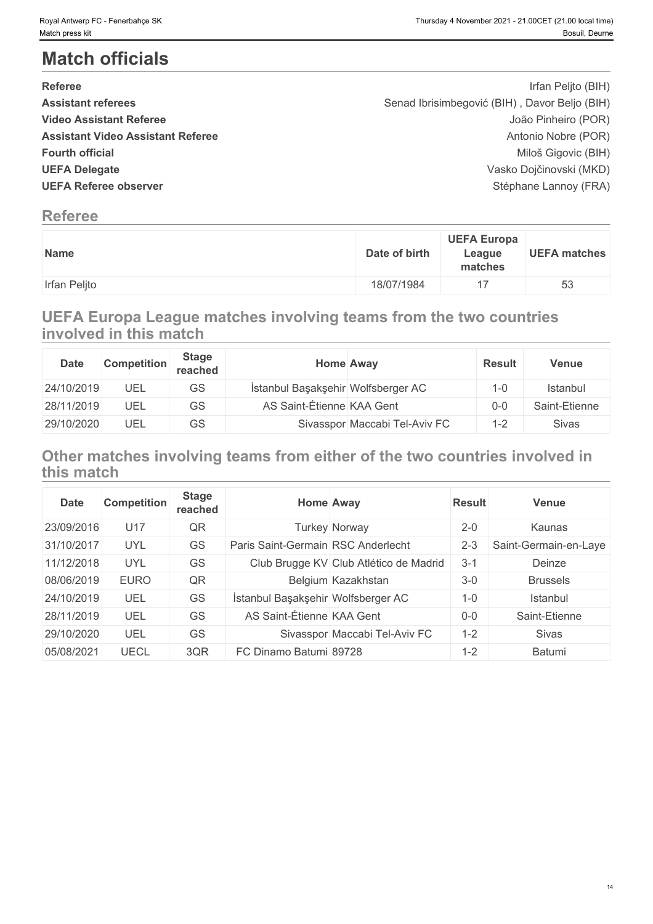# **Match officials**

| <b>Referee</b>                           | Irfan Peljto (BIH)                            |  |
|------------------------------------------|-----------------------------------------------|--|
| <b>Assistant referees</b>                | Senad Ibrisimbegović (BIH), Davor Beljo (BIH) |  |
| <b>Video Assistant Referee</b>           | João Pinheiro (POR)                           |  |
| <b>Assistant Video Assistant Referee</b> | Antonio Nobre (POR)                           |  |
| <b>Fourth official</b>                   | Miloš Gigovic (BIH)                           |  |
| <b>UEFA Delegate</b>                     | Vasko Dojčinovski (MKD)                       |  |
| <b>UEFA Referee observer</b>             | Stéphane Lannoy (FRA)                         |  |
|                                          |                                               |  |

## **Referee**

| <b>Name</b>  | <b>UEFA Europa</b><br>Date of birth<br>League<br>matches | <b>UEFA matches</b> |
|--------------|----------------------------------------------------------|---------------------|
| Irfan Peljto | 18/07/1984                                               | 53                  |

## **UEFA Europa League matches involving teams from the two countries involved in this match**

| <b>Date</b> | <b>Competition</b> | <b>Stage</b><br>reached | Home Away                          | <b>Result</b> | <b>Venue</b>  |
|-------------|--------------------|-------------------------|------------------------------------|---------------|---------------|
| 24/10/2019  | UEL                | <b>GS</b>               | İstanbul Başakşehir Wolfsberger AC | $1 - 0$       | Istanbul      |
| 28/11/2019  | UEL                | GS                      | AS Saint-Étienne KAA Gent          | 0-0           | Saint-Etienne |
| 29/10/2020  | UEL                | GS                      | Sivasspor Maccabi Tel-Aviv FC      | $1 - 2$       | Sivas         |

## **Other matches involving teams from either of the two countries involved in this match**

| <b>Date</b> | <b>Competition</b> | <b>Stage</b><br>reached |                                    | <b>Home Away</b>                       | <b>Result</b> | <b>Venue</b>          |
|-------------|--------------------|-------------------------|------------------------------------|----------------------------------------|---------------|-----------------------|
| 23/09/2016  | U17                | QR                      |                                    | <b>Turkey Norway</b>                   | $2 - 0$       | Kaunas                |
| 31/10/2017  | UYL                | GS                      | Paris Saint-Germain RSC Anderlecht |                                        | $2 - 3$       | Saint-Germain-en-Laye |
| 11/12/2018  | UYL                | GS                      |                                    | Club Brugge KV Club Atlético de Madrid | $3 - 1$       | Deinze                |
| 08/06/2019  | <b>EURO</b>        | QR                      |                                    | Belgium Kazakhstan                     | $3 - 0$       | <b>Brussels</b>       |
| 24/10/2019  | UEL                | GS                      | İstanbul Başakşehir Wolfsberger AC |                                        | $1 - 0$       | Istanbul              |
| 28/11/2019  | UEL                | GS                      | AS Saint-Étienne KAA Gent          |                                        | $0-0$         | Saint-Etienne         |
| 29/10/2020  | UEL                | GS                      |                                    | Sivasspor Maccabi Tel-Aviv FC          | $1 - 2$       | <b>Sivas</b>          |
| 05/08/2021  | UECL               | 3QR                     | FC Dinamo Batumi 89728             |                                        | $1 - 2$       | Batumi                |